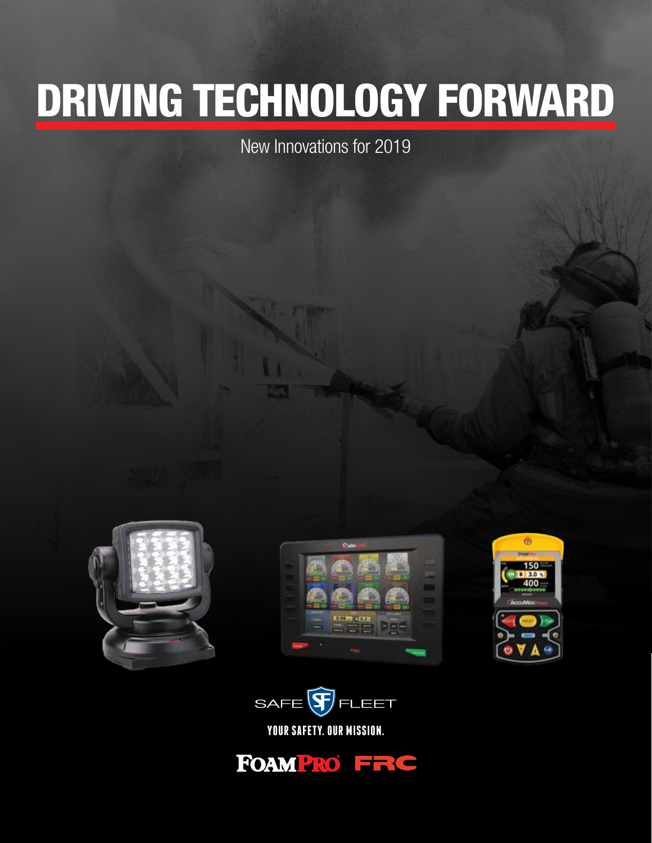# DRIVING TECHNOLOGY FORWARD

New Innovations for 2019









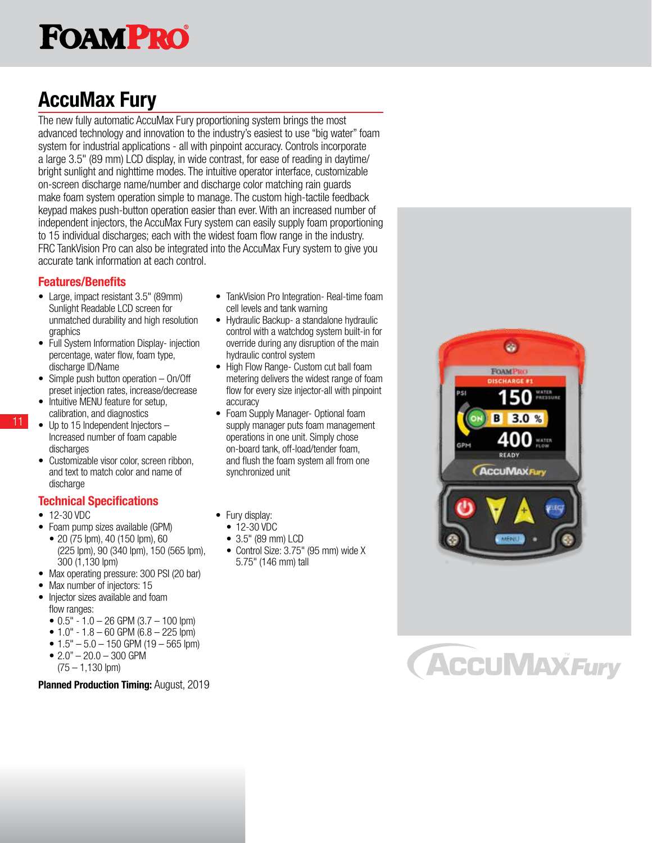## **FOAMPRO**

## AccuMax Fury

The new fully automatic AccuMax Fury proportioning system brings the most advanced technology and innovation to the industry's easiest to use "big water" foam system for industrial applications - all with pinpoint accuracy. Controls incorporate a large 3.5" (89 mm) LCD display, in wide contrast, for ease of reading in daytime/ bright sunlight and nighttime modes. The intuitive operator interface, customizable on-screen discharge name/number and discharge color matching rain guards make foam system operation simple to manage. The custom high-tactile feedback keypad makes push-button operation easier than ever. With an increased number of independent injectors, the AccuMax Fury system can easily supply foam proportioning to 15 individual discharges; each with the widest foam flow range in the industry. FRC TankVision Pro can also be integrated into the AccuMax Fury system to give you accurate tank information at each control.

#### Features/Benefits

- Large, impact resistant 3.5" (89mm) Sunlight Readable LCD screen for unmatched durability and high resolution graphics
- Full System Information Display- injection percentage, water flow, foam type, discharge ID/Name
- Simple push button operation On/Off preset injection rates, increase/decrease
- Intuitive MENU feature for setup, calibration, and diagnostics
- Up to 15 Independent Injectors -Increased number of foam capable discharges
- Customizable visor color, screen ribbon, and text to match color and name of discharge

#### Technical Specifications

• 12-30 VDC

11

- Foam pump sizes available (GPM)
- 20 (75 lpm), 40 (150 lpm), 60 (225 lpm), 90 (340 lpm), 150 (565 lpm), 300 (1,130 lpm)
- Max operating pressure: 300 PSI (20 bar)
- Max number of injectors: 15
- Injector sizes available and foam flow ranges:
	- $\bullet$  0.5" 1.0 26 GPM (3.7 100 lpm)
	- $\bullet$  1.0" 1.8 60 GPM (6.8 225 lpm)
	- $1.5" 5.0 150$  GPM (19 565 lpm)
	- $2.0" 20.0 300$  GPM
	- $(75 1, 130$  lpm)

Planned Production Timing: August, 2019

- TankVision Pro Integration- Real-time foam cell levels and tank warning
- Hydraulic Backup- a standalone hydraulic control with a watchdog system built-in for override during any disruption of the main hydraulic control system
- High Flow Range- Custom cut ball foam metering delivers the widest range of foam flow for every size injector-all with pinpoint accuracy
- Foam Supply Manager- Optional foam supply manager puts foam management operations in one unit. Simply chose on-board tank, off-load/tender foam, and flush the foam system all from one synchronized unit
- Fury display:
	- 12-30 VDC
	- 3.5" (89 mm) LCD
	- Control Size: 3.75" (95 mm) wide X 5.75" (146 mm) tall



## **ACCUMAXFury**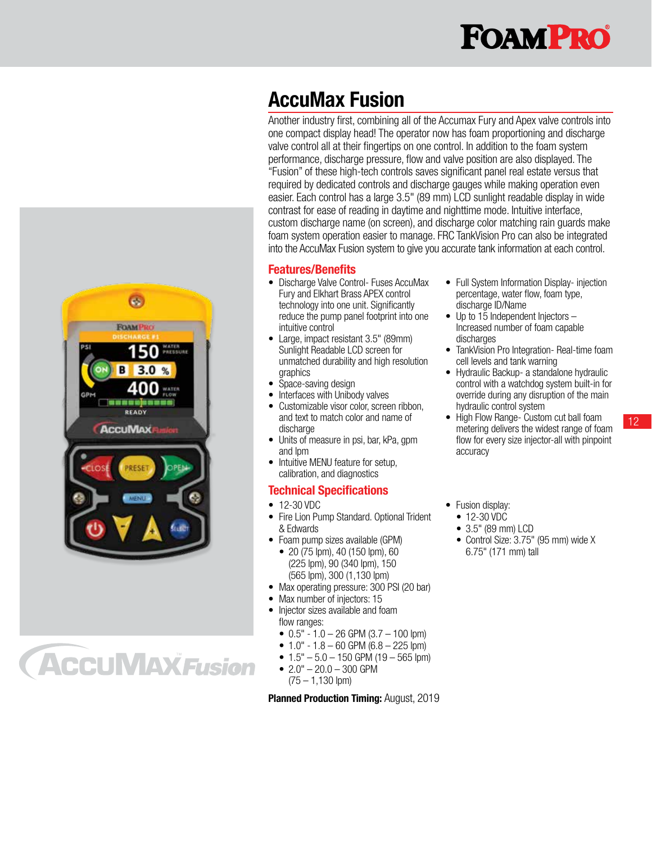

### AccuMax Fusion

Another industry first, combining all of the Accumax Fury and Apex valve controls into one compact display head! The operator now has foam proportioning and discharge valve control all at their fingertips on one control. In addition to the foam system performance, discharge pressure, flow and valve position are also displayed. The "Fusion" of these high-tech controls saves significant panel real estate versus that required by dedicated controls and discharge gauges while making operation even easier. Each control has a large 3.5" (89 mm) LCD sunlight readable display in wide contrast for ease of reading in daytime and nighttime mode. Intuitive interface, custom discharge name (on screen), and discharge color matching rain guards make foam system operation easier to manage. FRC TankVision Pro can also be integrated into the AccuMax Fusion system to give you accurate tank information at each control.

#### Features/Benefits

- Discharge Valve Control- Fuses AccuMax Fury and Elkhart Brass APEX control technology into one unit. Significantly reduce the pump panel footprint into one intuitive control
- Large, impact resistant 3.5" (89mm) Sunlight Readable LCD screen for unmatched durability and high resolution graphics
- Space-saving design
- Interfaces with Unibody valves
- Customizable visor color, screen ribbon, and text to match color and name of discharge
- Units of measure in psi, bar, kPa, gpm and lpm
- Intuitive MENU feature for setup, calibration, and diagnostics

#### Technical Specifications

- 12-30 VDC
- Fire Lion Pump Standard. Optional Trident & Edwards
- Foam pump sizes available (GPM)
- 20 (75 lpm), 40 (150 lpm), 60 (225 lpm), 90 (340 lpm), 150 (565 lpm), 300 (1,130 lpm)
- Max operating pressure: 300 PSI (20 bar)
- Max number of injectors: 15
- Injector sizes available and foam flow ranges:
	- $\bullet$  0.5" 1.0 26 GPM (3.7 100 lpm)
	- $\bullet$  1.0" 1.8 60 GPM (6.8 225 lpm)
	- $1.5" 5.0 150$  GPM (19 565 lpm)
	- $2.0" 20.0 300$  GPM (75 – 1,130 lpm)

**Planned Production Timing: August, 2019** 

- Full System Information Display- injection percentage, water flow, foam type, discharge ID/Name
- Up to  $15$  Independent Injectors  $-$ Increased number of foam capable discharges
- TankVision Pro Integration- Real-time foam cell levels and tank warning
- Hydraulic Backup- a standalone hydraulic control with a watchdog system built-in for override during any disruption of the main hydraulic control system
- High Flow Range- Custom cut ball foam metering delivers the widest range of foam flow for every size injector-all with pinpoint accuracy

12

- Fusion display:
	- 12-30 VDC
- 3.5" (89 mm) LCD
- Control Size: 3.75" (95 mm) wide X 6.75" (171 mm) tall



**ACCUMAX Fusion**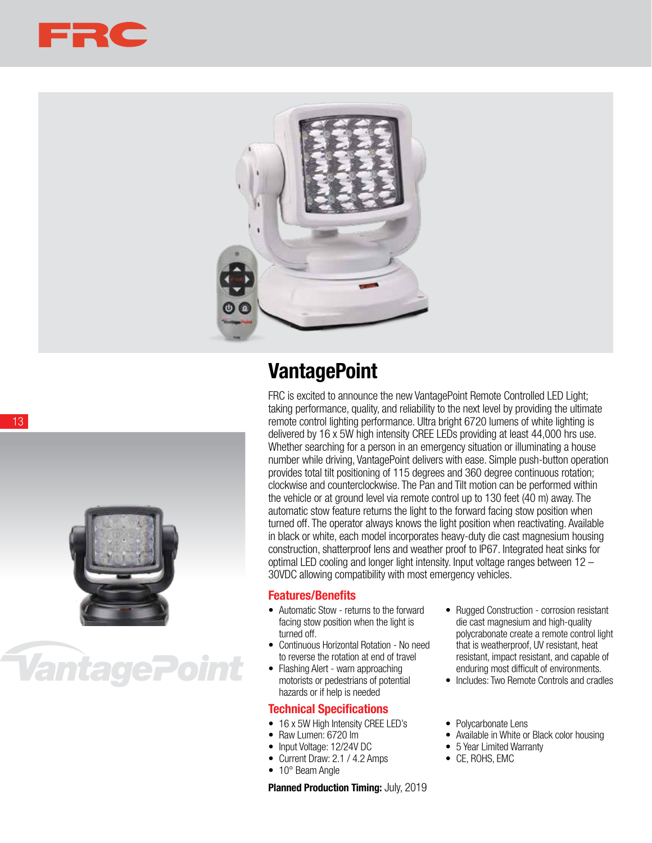



### **VantagePoint**

FRC is excited to announce the new VantagePoint Remote Controlled LED Light; taking performance, quality, and reliability to the next level by providing the ultimate remote control lighting performance. Ultra bright 6720 lumens of white lighting is delivered by 16 x 5W high intensity CREE LEDs providing at least 44,000 hrs use. Whether searching for a person in an emergency situation or illuminating a house number while driving, VantagePoint delivers with ease. Simple push-button operation provides total tilt positioning of 115 degrees and 360 degree continuous rotation; clockwise and counterclockwise. The Pan and Tilt motion can be performed within the vehicle or at ground level via remote control up to 130 feet (40 m) away. The automatic stow feature returns the light to the forward facing stow position when turned off. The operator always knows the light position when reactivating. Available in black or white, each model incorporates heavy-duty die cast magnesium housing construction, shatterproof lens and weather proof to IP67. Integrated heat sinks for optimal LED cooling and longer light intensity. Input voltage ranges between 12 – 30VDC allowing compatibility with most emergency vehicles.

#### Features/Benefits

- Automatic Stow returns to the forward facing stow position when the light is turned off.
- Continuous Horizontal Rotation No need to reverse the rotation at end of travel
- Flashing Alert warn approaching motorists or pedestrians of potential hazards or if help is needed

#### Technical Specifications

- 16 x 5W High Intensity CREE LED's
- Raw Lumen: 6720 lm
- Input Voltage: 12/24V DC
- Current Draw: 2.1 / 4.2 Amps
- 10° Beam Angle

Planned Production Timing: July, 2019

- Rugged Construction corrosion resistant die cast magnesium and high-quality polycrabonate create a remote control light that is weatherproof, UV resistant, heat resistant, impact resistant, and capable of enduring most difficult of environments.
- Includes: Two Remote Controls and cradles

• Polycarbonate Lens

- Available in White or Black color housing
- 5 Year Limited Warranty
- CE, ROHS, EMC

13



## VantagePoint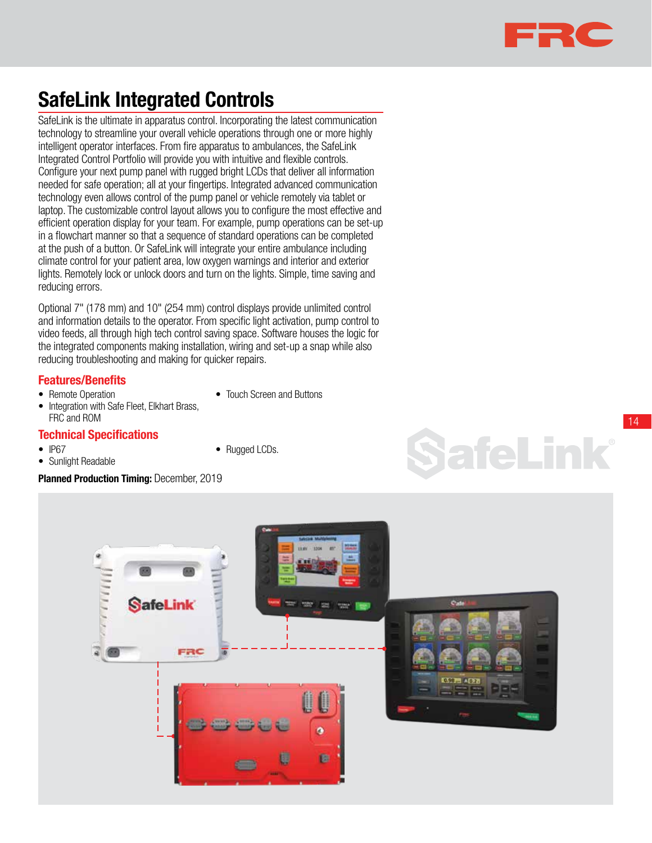

14

SafeLink

### SafeLink Integrated Controls

SafeLink is the ultimate in apparatus control. Incorporating the latest communication technology to streamline your overall vehicle operations through one or more highly intelligent operator interfaces. From fire apparatus to ambulances, the SafeLink Integrated Control Portfolio will provide you with intuitive and flexible controls. Configure your next pump panel with rugged bright LCDs that deliver all information needed for safe operation; all at your fingertips. Integrated advanced communication technology even allows control of the pump panel or vehicle remotely via tablet or laptop. The customizable control layout allows you to configure the most effective and efficient operation display for your team. For example, pump operations can be set-up in a flowchart manner so that a sequence of standard operations can be completed at the push of a button. Or SafeLink will integrate your entire ambulance including climate control for your patient area, low oxygen warnings and interior and exterior lights. Remotely lock or unlock doors and turn on the lights. Simple, time saving and reducing errors.

Optional 7" (178 mm) and 10" (254 mm) control displays provide unlimited control and information details to the operator. From specific light activation, pump control to video feeds, all through high tech control saving space. Software houses the logic for the integrated components making installation, wiring and set-up a snap while also reducing troubleshooting and making for quicker repairs.

#### Features/Benefits

• Remote Operation

• Touch Screen and Buttons

• Rugged LCDs.

• Integration with Safe Fleet, Elkhart Brass, FRC and ROM

#### Technical Specifications

- IP67
- Sunlight Readable

Planned Production Timing: December, 2019